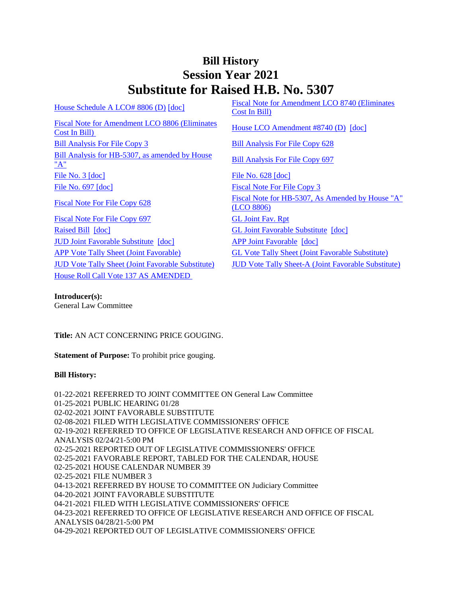## **Bill History Session Year 2021 Substitute for Raised H.B. No. 5307**

[House Schedule A LCO# 8806 \(D\)](/2021/amd/H/pdf/2021HB-05307-R00HA-AMD.pdf) [\[doc\]](https://search.cga.state.ct.us/dl2021/AMD/doc/2021HB-05307-R00HA-AMD.docx) Fiscal Note for Amendment LCO 8740 (Eliminates [Cost In Bill\)](/2021/fna/pdf/2021HB-05307-R00LCO08740-FNA.PDF)  [Fiscal Note for Amendment LCO 8806 \(Eliminates](/2021/fna/pdf/2021HB-05307-R00LCO08806-FNA.PDF)  <u>Fiscal Note Tof Amendment ECO 6600 (Emminates</u> [House LCO Amendment #8740 \(D\)](/2021/lcoamd/pdf/2021LCO08740-R00-AMD.pdf) [\[doc\]](https://search.cga.state.ct.us/dl2021/aml/doc/2021LCO08740-R00-AMD.DOCX) [Bill Analysis For File Copy 3](/2021/BA/PDF/2021HB-05307-R000003-BA.PDF) [Bill Analysis For File Copy 628](/2021/BA/PDF/2021HB-05307-R010628-BA.PDF) [Bill Analysis for HB-5307, as amended by House](/2021/BA/PDF/2021HB-05307-R02-BA.PDF)   $\frac{\text{Bin Analysis for ID-5507, as anended by Trouse}}{\text{Bill Analysis For File Copy 697}}$  $\frac{\text{Bin Analysis for ID-5507, as anended by Trouse}}{\text{Bill Analysis For File Copy 697}}$  $\frac{\text{Bin Analysis for ID-5507, as anended by Trouse}}{\text{Bill Analysis For File Copy 697}}$ [File No. 3](/2021/FC/PDF/2021HB-05307-R000003-FC.PDF) [\[doc\]](/2021/FC/PDF/2021HB-05307-R000628-FC.PDF) [File No. 628](/2021/FC/PDF/2021HB-05307-R000628-FC.PDF) [doc] [File No. 697](/2021/FC/PDF/2021HB-05307-R000697-FC.PDF) [\[doc\]](/2021/FC/PDF/2021HB-05307-R000697-FC.PDF) [Fiscal Note For File Copy 3](/2021/FN/PDF/2021HB-05307-R000003-FN.PDF) [Fiscal Note For File Copy 628](/2021/FN/PDF/2021HB-05307-R010628-FN.PDF) Fiscal Note for HB-5307, As Amended by House "A" [\(LCO 8806\)](/2021/FN/PDF/2021HB-05307-R02-FN.PDF) [Fiscal Note For File Copy 697](/2021/FN/PDF/2021HB-05307-R020697-FN.PDF) [GL Joint Fav. Rpt](/2021/JFR/H/PDF/2021HB-05307-R00GL-JFR.PDF) [Raised Bill](/2021/TOB/H/PDF/2021HB-05307-R00-HB.PDF) [\[doc\]](https://search.cga.state.ct.us/dl2021/TOB/DOC/2021HB-05307-R00-HB.DOCX) [GL Joint Favorable Substitute](/2021/TOB/H/PDF/2021HB-05307-R01-HB.PDF) [\[doc\]](https://search.cga.state.ct.us/dl2021/TOB/DOC/2021HB-05307-R01-HB.DOCX) [JUD Joint Favorable Substitute](/2021/TOB/H/PDF/2021HB-05307-R02-HB.PDF) [\[doc\]](https://search.cga.state.ct.us/dl2021/TOB/DOC/2021HB-05307-R02-HB.DOCX) [APP Joint Favorable](/2021/TOB/H/PDF/2021HB-05307-R03-HB.PDF) [\[doc\]](https://search.cga.state.ct.us/dl2021/TOB/DOC/2021HB-05307-R03-HB.DOCX) [APP Vote Tally Sheet \(Joint Favorable\)](/2021/TS/H/PDF/2021HB-05307-R00APP-CV106-TS.PDF) [GL Vote Tally Sheet \(Joint Favorable Substitute\)](/2021/TS/H/PDF/2021HB-05307-R00GL-CV27-TS.PDF) [JUD Vote Tally Sheet \(Joint Favorable Substitute\)](/2021/TS/H/PDF/2021HB-05307-R00JUD-CV148-TS.PDF) [JUD Vote Tally Sheet-A \(Joint Favorable Substitute\)](/2021/TS/H/PDF/2021HB-05307-R00JUDA-CV149-TS.PDF) [House Roll Call Vote 137 AS AMENDED](/2021/VOTE/H/PDF/2021HV-00137-R00HB05307-HV.PDF) 

**Introducer(s):** General Law Committee

**Title:** AN ACT CONCERNING PRICE GOUGING.

**Statement of Purpose:** To prohibit price gouging.

## **Bill History:**

01-22-2021 REFERRED TO JOINT COMMITTEE ON General Law Committee 01-25-2021 PUBLIC HEARING 01/28 02-02-2021 JOINT FAVORABLE SUBSTITUTE 02-08-2021 FILED WITH LEGISLATIVE COMMISSIONERS' OFFICE 02-19-2021 REFERRED TO OFFICE OF LEGISLATIVE RESEARCH AND OFFICE OF FISCAL ANALYSIS 02/24/21-5:00 PM 02-25-2021 REPORTED OUT OF LEGISLATIVE COMMISSIONERS' OFFICE 02-25-2021 FAVORABLE REPORT, TABLED FOR THE CALENDAR, HOUSE 02-25-2021 HOUSE CALENDAR NUMBER 39 02-25-2021 FILE NUMBER 3 04-13-2021 REFERRED BY HOUSE TO COMMITTEE ON Judiciary Committee 04-20-2021 JOINT FAVORABLE SUBSTITUTE 04-21-2021 FILED WITH LEGISLATIVE COMMISSIONERS' OFFICE 04-23-2021 REFERRED TO OFFICE OF LEGISLATIVE RESEARCH AND OFFICE OF FISCAL ANALYSIS 04/28/21-5:00 PM 04-29-2021 REPORTED OUT OF LEGISLATIVE COMMISSIONERS' OFFICE